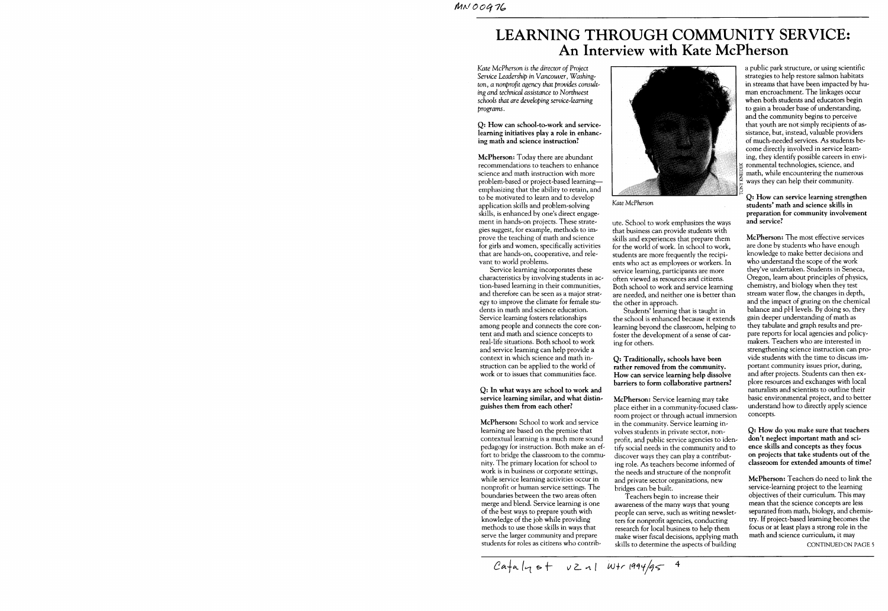# **LEARNING THROUGH COMMUNITY SERVICE: An Interview with Kate McPherson**

*Kate McPherson* is *the director of Project Service Leadership* in *Vancouver,* Washing~ *ton, a nonprofit agency that provides* consult~ ing *and technical assistance to Northwest schools that are developing* service~leaming *programs.* 

#### Q: How can school-to-work and servicelearning initiatives play a role in enhancing math and science instruction?

McPherson: Today there are abundant recommendations to teachers to enhance science and math instruction with more problem~based or project-based learningemphasizing that the ability to retain, and to be motivated to learn and to develop application skills and problem~solving skills, is enhanced by one's direct engagement in hands-on projects. These strategies suggest, for example, methods to improve the teaching of math and science for girls and women, specifically activities that are hands-on, cooperative, and relevant to world problems.

Service learning incorporates these characteristics by involving students in action-based learning in their communities, and therefore can be seen as a major strategy to improve the climate for female students in math and science education. Service learning fosters relationships among people and connects the core content and math and science concepts to real-life situations. Both school to work and service learning can help provide a context in which science and math instruction can be applied to the world of work or to issues that communities face.

#### Q: In what ways are school to work and service learning similar, and what distinguishes them from each other?

McPherson: School to work and service learning are based on the premise that contextual learning is a much more sound pedagogy for instruction. Both make an effort to bridge the classroom to the community. The primary location for school to work is in business or corporate settings, while service learning activities occur in nonprofit or human service settings. The boundaries between the two areas often merge and blend. Service learning is one of the best ways to prepare youth with knowledge of the job while providing methods to use those skills in ways that serve the larger community and prepare students for roles as citizens who contrib-



*Kate McPherson* 

ute. School to work emphasizes the ways that business can provide students with skills and experiences that prepare them for the world of work. In school to work, students are more frequently the recipients who act as employees or workers. In service learning, participants are more often viewed as resources and citizens. Both school to work and service learning are needed, and neither one is better than the other in approach.

Students' learning that is taught in the school is enhanced because it extends learning beyond the classroom, helping to foster the development of a sense of caring for others.

#### Q: Traditionally, schools have been rather removed from the community. How can service learning help dissolve barriers to form collaborative partners?

McPherson: Service learning may take place either in a community-focused classroom project or through actual immersion in the community. Service learning involves students in private sector, nonprofit, and public service agencies to identify social needs in the community and to discover ways they can play a contributing role. As teachers become informed of the needs and structure of the nonprofit and private sector organizations, new bridges can be built.

Teachers begin to increase their awareness of the many ways that young people can serve, such as writing newsletters for nonprofit agencies, conducting research for local business to help them make wiser fiscal decisions, applying math skills to determine the aspects of building

a public park structure, or using scientific strategies to help restore salmon habitats in streams that have been impacted by human encroachment. The linkages occur when both students and educators begin to gain a broader base of understanding, and the community begins to perceive that youth are not simply recipients of assistance, but, instead, valuable providers of much-needed services. As students become directly involved in service learning, they identify possible careers in environmental technologies, science, and math, while encountering the numerous ways they can help their community.

#### Q: How can service learning strengthen students' math and science skills in preparation for community involvement and service?

McPherson: The most effective services are done by students who have enough knowledge to make better decisions and who understand the scope of the work they've undertaken. Students in Seneca, Oregon, learn about principles of physics, chemistry, and biology when they test stream water flow, the changes in depth, and the impact of grazing on the chemical balance and pH levels. By doing so, they gain deeper understanding of math as they tabulate and graph results and prepare reports for local agencies and policymakers. Teachers who are interested in strengthening science instruction can provide students with the time to discuss important community issues prior, during, and after projects. Students can then explore resources and exchanges with local naturalists and scientists to outline their basic environmental project, and to better understand how to directly apply science concepts.

Q: How do you make sure that teachers don't neglect important math and science skills and concepts as they focus on projects that take students out of the classroom for extended amounts of time?

McPherson: Teachers do need to link the service-learning project to the learning objectives of their curriculum. This may mean that the science concepts are less separated from math, biology, and chemistry. If project-based learning becomes the focus or at least plays a strong role in the math and science curriculum, it may

CONTINUED ON PAGE 5

 $Cafa|q+f$  vz nl Wtr 1994/95 4